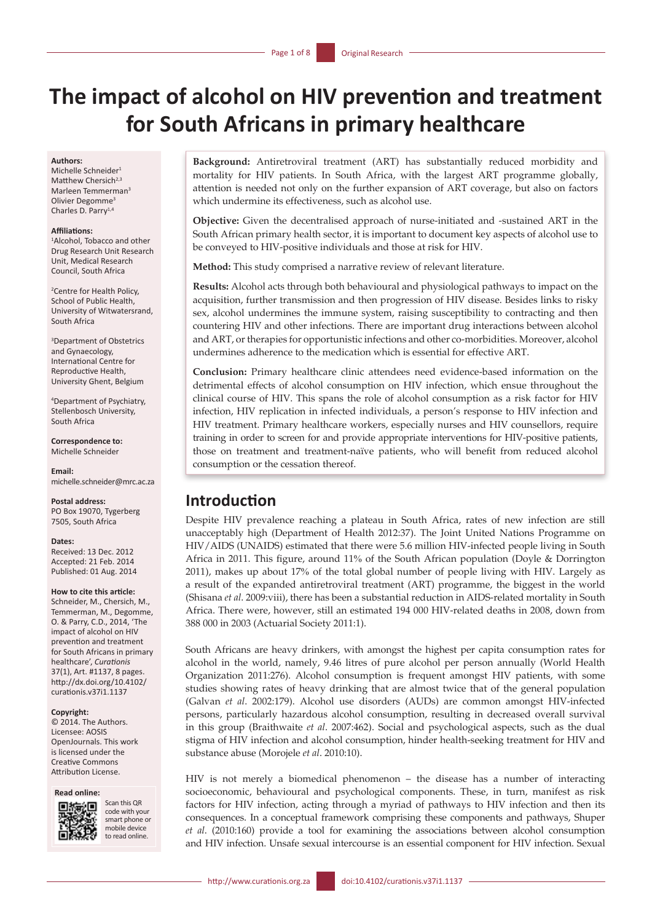# **The impact of alcohol on HIV prevention and treatment for South Africans in primary healthcare**

#### **Authors:**

Michelle Schneider<sup>1</sup> Matthew Chersich<sup>2,3</sup> Marleen Temmerman<sup>3</sup> Olivier Degomme3 Charles D. Parry<sup>1,4</sup>

#### **Affiliations:**

1 Alcohol, Tobacco and other Drug Research Unit Research Unit, Medical Research Council, South Africa

2 Centre for Health Policy, School of Public Health, University of Witwatersrand, South Africa

3 Department of Obstetrics and Gynaecology, International Centre for Reproductive Health, University Ghent, Belgium

4 Department of Psychiatry, Stellenbosch University, South Africa

**Correspondence to:** Michelle Schneider

**Email:**  [michelle.schneider@mrc.ac.za](mailto:michelle.schneider%40mrc.ac.za?subject=) 

**Postal address:**  PO Box 19070, Tygerberg 7505, South Africa

#### **Dates:**

Received: 13 Dec. 2012 Accepted: 21 Feb. 2014 Published: 01 Aug. 2014

#### **How to cite this article:**

Schneider, M., Chersich, M., Temmerman, M., Degomme, O. & Parry, C.D., 2014, 'The impact of alcohol on HIV prevention and treatment for South Africans in primary healthcare', *Curationis* 37(1), Art. #1137, 8 pages. [http://dx.doi.org/10.4102/](http://dx.doi.org/10.4102/curationis.v37i1.1137) [curationis.v37i1.1137](http://dx.doi.org/10.4102/curationis.v37i1.1137)

#### **Copyright:**

© 2014. The Authors. Licensee: AOSIS OpenJournals. This work is licensed under the Creative Commons Attribution License.

#### **Read online:**



Scan this QR code with your smart phone or mobile device to read online.

**Background:** Antiretroviral treatment (ART) has substantially reduced morbidity and mortality for HIV patients. In South Africa, with the largest ART programme globally, attention is needed not only on the further expansion of ART coverage, but also on factors which undermine its effectiveness, such as alcohol use.

**Objective:** Given the decentralised approach of nurse-initiated and -sustained ART in the South African primary health sector, it is important to document key aspects of alcohol use to be conveyed to HIV-positive individuals and those at risk for HIV.

**Method:** This study comprised a narrative review of relevant literature.

**Results:** Alcohol acts through both behavioural and physiological pathways to impact on the acquisition, further transmission and then progression of HIV disease. Besides links to risky sex, alcohol undermines the immune system, raising susceptibility to contracting and then countering HIV and other infections. There are important drug interactions between alcohol and ART, or therapies for opportunistic infections and other co-morbidities. Moreover, alcohol undermines adherence to the medication which is essential for effective ART.

**Conclusion:** Primary healthcare clinic attendees need evidence-based information on the detrimental effects of alcohol consumption on HIV infection, which ensue throughout the clinical course of HIV. This spans the role of alcohol consumption as a risk factor for HIV infection, HIV replication in infected individuals, a person's response to HIV infection and HIV treatment. Primary healthcare workers, especially nurses and HIV counsellors, require training in order to screen for and provide appropriate interventions for HIV-positive patients, those on treatment and treatment-naïve patients, who will benefit from reduced alcohol consumption or the cessation thereof.

# **Introduction**

Despite HIV prevalence reaching a plateau in South Africa, rates of new infection are still unacceptably high (Department of Health 2012:37). The Joint United Nations Programme on HIV/AIDS (UNAIDS) estimated that there were 5.6 million HIV-infected people living in South Africa in 2011. This figure, around 11% of the South African population (Doyle & Dorrington 2011), makes up about 17% of the total global number of people living with HIV. Largely as a result of the expanded antiretroviral treatment (ART) programme, the biggest in the world (Shisana *et al*. 2009:viii), there has been a substantial reduction in AIDS-related mortality in South Africa. There were, however, still an estimated 194 000 HIV-related deaths in 2008, down from 388 000 in 2003 (Actuarial Society 2011:1).

South Africans are heavy drinkers, with amongst the highest per capita consumption rates for alcohol in the world, namely, 9.46 litres of pure alcohol per person annually (World Health Organization 2011:276). Alcohol consumption is frequent amongst HIV patients, with some studies showing rates of heavy drinking that are almost twice that of the general population (Galvan *et al*. 2002:179). Alcohol use disorders (AUDs) are common amongst HIV-infected persons, particularly hazardous alcohol consumption, resulting in decreased overall survival in this group (Braithwaite *et al*. 2007:462). Social and psychological aspects, such as the dual stigma of HIV infection and alcohol consumption, hinder health-seeking treatment for HIV and substance abuse (Morojele *et al*. 2010:10).

HIV is not merely a biomedical phenomenon – the disease has a number of interacting socioeconomic, behavioural and psychological components. These, in turn, manifest as risk factors for HIV infection, acting through a myriad of pathways to HIV infection and then its consequences. In a conceptual framework comprising these components and pathways, Shuper *et al*. (2010:160) provide a tool for examining the associations between alcohol consumption and HIV infection. Unsafe sexual intercourse is an essential component for HIV infection. Sexual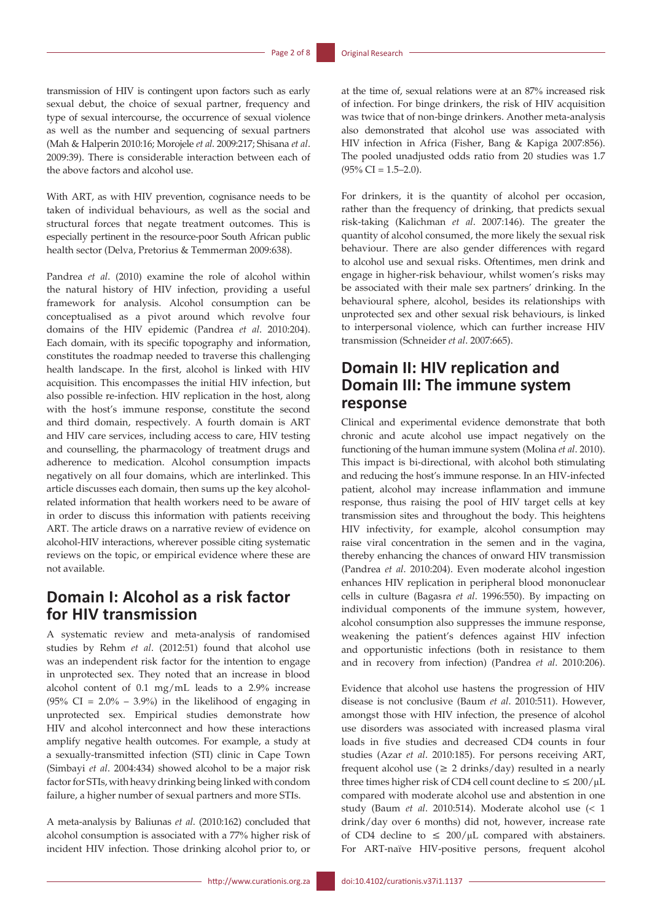transmission of HIV is contingent upon factors such as early sexual debut, the choice of sexual partner, frequency and type of sexual intercourse, the occurrence of sexual violence as well as the number and sequencing of sexual partners (Mah & Halperin 2010:16; Morojele *et al*. 2009:217; Shisana *et al*. 2009:39). There is considerable interaction between each of the above factors and alcohol use.

With ART, as with HIV prevention, cognisance needs to be taken of individual behaviours, as well as the social and structural forces that negate treatment outcomes. This is especially pertinent in the resource-poor South African public health sector (Delva, Pretorius & Temmerman 2009:638).

Pandrea *et al*. (2010) examine the role of alcohol within the natural history of HIV infection, providing a useful framework for analysis. Alcohol consumption can be conceptualised as a pivot around which revolve four domains of the HIV epidemic (Pandrea *et al*. 2010:204). Each domain, with its specific topography and information, constitutes the roadmap needed to traverse this challenging health landscape. In the first, alcohol is linked with HIV acquisition. This encompasses the initial HIV infection, but also possible re-infection. HIV replication in the host, along with the host's immune response, constitute the second and third domain, respectively. A fourth domain is ART and HIV care services, including access to care, HIV testing and counselling, the pharmacology of treatment drugs and adherence to medication. Alcohol consumption impacts negatively on all four domains, which are interlinked. This article discusses each domain, then sums up the key alcoholrelated information that health workers need to be aware of in order to discuss this information with patients receiving ART. The article draws on a narrative review of evidence on alcohol-HIV interactions, wherever possible citing systematic reviews on the topic, or empirical evidence where these are not available.

# **Domain I: Alcohol as a risk factor for HIV transmission**

A systematic review and meta-analysis of randomised studies by Rehm *et al*. (2012:51) found that alcohol use was an independent risk factor for the intention to engage in unprotected sex. They noted that an increase in blood alcohol content of 0.1 mg/mL leads to a 2.9% increase (95% CI =  $2.0\%$  –  $3.9\%$ ) in the likelihood of engaging in unprotected sex. Empirical studies demonstrate how HIV and alcohol interconnect and how these interactions amplify negative health outcomes. For example, a study at a sexually-transmitted infection (STI) clinic in Cape Town (Simbayi *et al*. 2004:434) showed alcohol to be a major risk factor for STIs, with heavy drinking being linked with condom failure, a higher number of sexual partners and more STIs.

A meta-analysis by Baliunas *et al*. (2010:162) concluded that alcohol consumption is associated with a 77% higher risk of incident HIV infection. Those drinking alcohol prior to, or

at the time of, sexual relations were at an 87% increased risk of infection. For binge drinkers, the risk of HIV acquisition was twice that of non-binge drinkers. Another meta-analysis also demonstrated that alcohol use was associated with HIV infection in Africa (Fisher, Bang & Kapiga 2007:856). The pooled unadjusted odds ratio from 20 studies was 1.7  $(95\% \text{ CI} = 1.5 - 2.0).$ 

For drinkers, it is the quantity of alcohol per occasion, rather than the frequency of drinking, that predicts sexual risk-taking (Kalichman *et al*. 2007:146). The greater the quantity of alcohol consumed, the more likely the sexual risk behaviour. There are also gender differences with regard to alcohol use and sexual risks. Oftentimes, men drink and engage in higher-risk behaviour, whilst women's risks may be associated with their male sex partners' drinking. In the behavioural sphere, alcohol, besides its relationships with unprotected sex and other sexual risk behaviours, is linked to interpersonal violence, which can further increase HIV transmission (Schneider *et al*. 2007:665).

# **Domain II: HIV replication and Domain III: The immune system response**

Clinical and experimental evidence demonstrate that both chronic and acute alcohol use impact negatively on the functioning of the human immune system (Molina *et al*. 2010). This impact is bi-directional, with alcohol both stimulating and reducing the host's immune response. In an HIV-infected patient, alcohol may increase inflammation and immune response, thus raising the pool of HIV target cells at key transmission sites and throughout the body. This heightens HIV infectivity, for example, alcohol consumption may raise viral concentration in the semen and in the vagina, thereby enhancing the chances of onward HIV transmission (Pandrea *et al*. 2010:204). Even moderate alcohol ingestion enhances HIV replication in peripheral blood mononuclear cells in culture (Bagasra *et al*. 1996:550). By impacting on individual components of the immune system, however, alcohol consumption also suppresses the immune response, weakening the patient's defences against HIV infection and opportunistic infections (both in resistance to them and in recovery from infection) (Pandrea *et al*. 2010:206).

Evidence that alcohol use hastens the progression of HIV disease is not conclusive (Baum *et al*. 2010:511). However, amongst those with HIV infection, the presence of alcohol use disorders was associated with increased plasma viral loads in five studies and decreased CD4 counts in four studies (Azar *et al*. 2010:185). For persons receiving ART, frequent alcohol use ( $\geq 2$  drinks/day) resulted in a nearly three times higher risk of CD4 cell count decline to  $\leq 200/\mu L$ compared with moderate alcohol use and abstention in one study (Baum *et al*. 2010:514). Moderate alcohol use (< 1 drink/day over 6 months) did not, however, increase rate of CD4 decline to  $\leq 200/\mu L$  compared with abstainers. For ART-naïve HIV-positive persons, frequent alcohol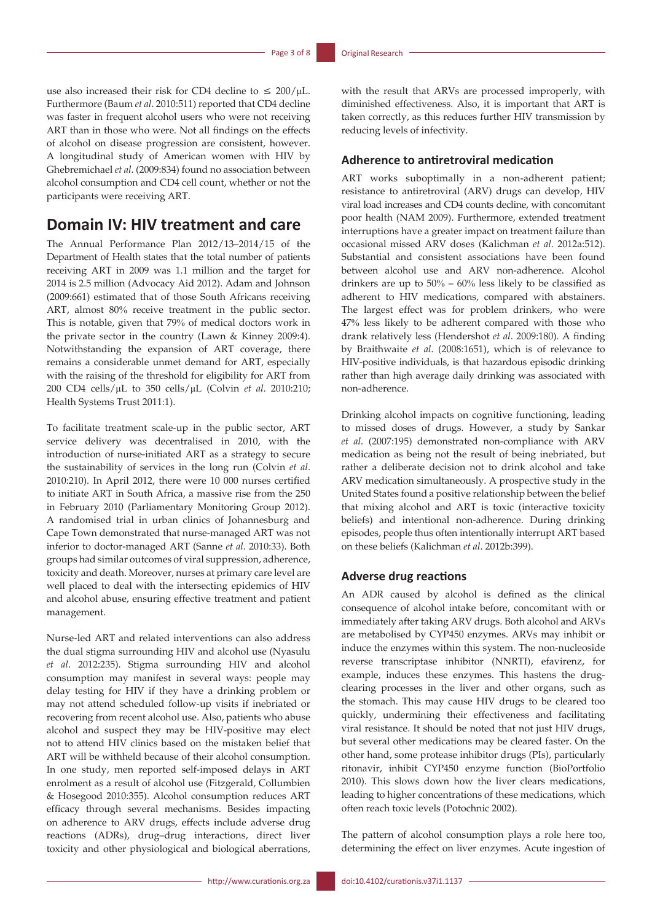use also increased their risk for CD4 decline to  $\leq 200/\mu L$ . Furthermore (Baum *et al*. 2010:511) reported that CD4 decline was faster in frequent alcohol users who were not receiving ART than in those who were. Not all findings on the effects of alcohol on disease progression are consistent, however. A longitudinal study of American women with HIV by [Ghebremichael](http://www.ncbi.nlm.nih.gov/pubmed?term=%22Ghebremichael M%22%5BAuthor%5D) *et al*. (2009:834) found no association between alcohol consumption and CD4 cell count, whether or not the participants were receiving ART.

### **Domain IV: HIV treatment and care**

The Annual Performance Plan 2012/13–2014/15 of the Department of Health states that the total number of patients receiving ART in 2009 was 1.1 million and the target for 2014 is 2.5 million (Advocacy Aid 2012). Adam and Johnson (2009:661) estimated that of those South Africans receiving ART, almost 80% receive treatment in the public sector. This is notable, given that 79% of medical doctors work in the private sector in the country (Lawn & Kinney 2009:4). Notwithstanding the expansion of ART coverage, there remains a considerable unmet demand for ART, especially with the raising of the threshold for eligibility for ART from 200 CD4 cells/μL to 350 cells/μL (Colvin *et al*. 2010:210; Health Systems Trust 2011:1).

To facilitate treatment scale-up in the public sector, ART service delivery was decentralised in 2010, with the introduction of nurse-initiated ART as a strategy to secure the sustainability of services in the long run (Colvin *et al*. 2010:210). In April 2012, there were 10 000 nurses certified to initiate ART in South Africa, a massive rise from the 250 in February 2010 (Parliamentary Monitoring Group 2012). A randomised trial in urban clinics of Johannesburg and Cape Town demonstrated that nurse-managed ART was not inferior to doctor-managed ART (Sanne *et al*. 2010:33). Both groups had similar outcomes of viral suppression, adherence, toxicity and death. Moreover, nurses at primary care level are well placed to deal with the intersecting epidemics of HIV and alcohol abuse, ensuring effective treatment and patient management.

Nurse-led ART and related interventions can also address the dual stigma surrounding HIV and alcohol use (Nyasulu *et al*. 2012:235). Stigma surrounding HIV and alcohol consumption may manifest in several ways: people may delay testing for HIV if they have a drinking problem or may not attend scheduled follow-up visits if inebriated or recovering from recent alcohol use. Also, patients who abuse alcohol and suspect they may be HIV-positive may elect not to attend HIV clinics based on the mistaken belief that ART will be withheld because of their alcohol consumption. In one study, men reported self-imposed delays in ART enrolment as a result of alcohol use (Fitzgerald, Collumbien & Hosegood 2010:355). Alcohol consumption reduces ART efficacy through several mechanisms. Besides impacting on adherence to ARV drugs, effects include adverse drug reactions (ADRs), drug–drug interactions, direct liver toxicity and other physiological and biological aberrations,

with the result that ARVs are processed improperly, with diminished effectiveness. Also, it is important that ART is taken correctly, as this reduces further HIV transmission by reducing levels of infectivity.

### **Adherence to antiretroviral medication**

ART works suboptimally in a non-adherent patient; resistance to antiretroviral (ARV) drugs can develop, HIV viral load increases and CD4 counts decline, with concomitant poor health (NAM 2009). Furthermore, extended treatment interruptions have a greater impact on treatment failure than occasional missed ARV doses (Kalichman *et al*. 2012a:512). Substantial and consistent associations have been found between alcohol use and ARV non-adherence. Alcohol drinkers are up to 50% – 60% less likely to be classified as adherent to HIV medications, compared with abstainers. The largest effect was for problem drinkers, who were 47% less likely to be adherent compared with those who drank relatively less (Hendershot *et al*. 2009:180). A finding by Braithwaite *et al*. (2008:1651), which is of relevance to HIV-positive individuals, is that hazardous episodic drinking rather than high average daily drinking was associated with non-adherence.

Drinking alcohol impacts on cognitive functioning, leading to missed doses of drugs. However, a study by Sankar *et al*. (2007:195) demonstrated non-compliance with ARV medication as being not the result of being inebriated, but rather a deliberate decision not to drink alcohol and take ARV medication simultaneously. A prospective study in the United States found a positive relationship between the belief that mixing alcohol and ART is toxic (interactive toxicity beliefs) and intentional non-adherence. During drinking episodes, people thus often intentionally interrupt ART based on these beliefs (Kalichman *et al*. 2012b:399).

### **Adverse drug reactions**

An ADR caused by alcohol is defined as the clinical consequence of alcohol intake before, concomitant with or immediately after taking ARV drugs. Both alcohol and ARVs are metabolised by CYP450 enzymes. ARVs may inhibit or induce the enzymes within this system. The non-nucleoside reverse transcriptase inhibitor (NNRTI), efavirenz, for example, induces these enzymes. This hastens the drugclearing processes in the liver and other organs, such as the stomach. This may cause HIV drugs to be cleared too quickly, undermining their effectiveness and facilitating viral resistance. It should be noted that not just HIV drugs, but several other medications may be cleared faster. On the other hand, some protease inhibitor drugs (PIs), particularly ritonavir, inhibit CYP450 enzyme function (BioPortfolio 2010). This slows down how the liver clears medications, leading to higher concentrations of these medications, which often reach toxic levels (Potochnic 2002).

The pattern of alcohol consumption plays a role here too, determining the effect on liver enzymes. Acute ingestion of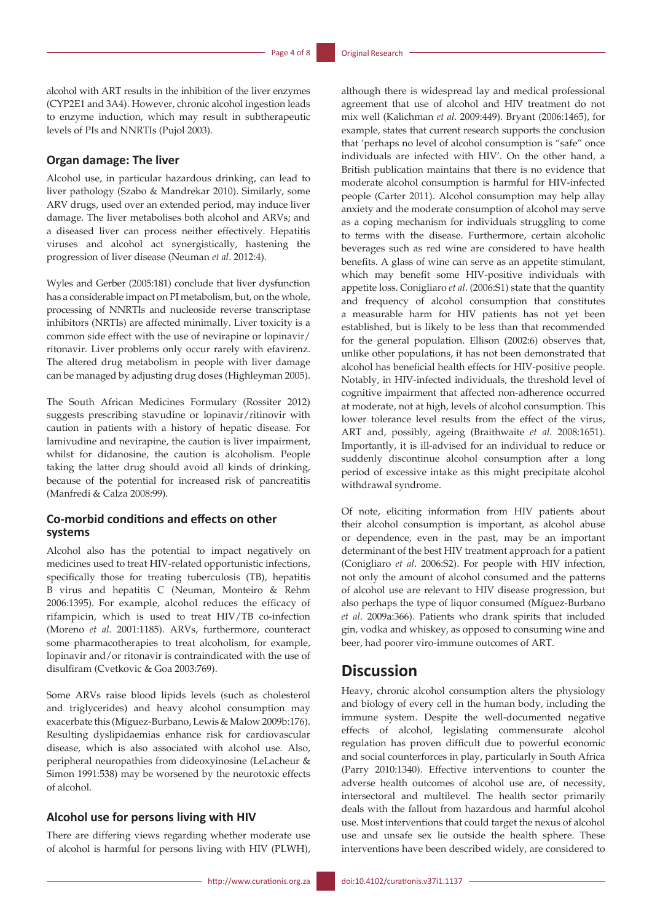alcohol with ART results in the inhibition of the liver enzymes (CYP2E1 and 3A4). However, chronic alcohol ingestion leads to enzyme induction, which may result in subtherapeutic levels of PIs and NNRTIs (Pujol 2003).

### **Organ damage: The liver**

Alcohol use, in particular hazardous drinking, can lead to liver pathology (Szabo & Mandrekar 2010). Similarly, some ARV drugs, used over an extended period, may induce liver damage. The liver metabolises both alcohol and ARVs; and a diseased liver can process neither effectively. Hepatitis viruses and alcohol act synergistically, hastening the progression of liver disease (Neuman *et al*. 2012:4).

Wyles and Gerber (2005:181) conclude that liver dysfunction has a considerable impact on PI metabolism, but, on the whole, processing of NNRTIs and nucleoside reverse transcriptase inhibitors (NRTIs) are affected minimally. Liver toxicity is a common side effect with the use of nevirapine or lopinavir/ ritonavir. Liver problems only occur rarely with efavirenz. The altered drug metabolism in people with liver damage can be managed by adjusting drug doses (Highleyman 2005).

The South African Medicines Formulary (Rossiter 2012) suggests prescribing stavudine or lopinavir/ritinovir with caution in patients with a history of hepatic disease. For lamivudine and nevirapine, the caution is liver impairment, whilst for didanosine, the caution is alcoholism. People taking the latter drug should avoid all kinds of drinking, because of the potential for increased risk of pancreatitis (Manfredi & Calza 2008:99).

### **Co-morbid conditions and effects on other systems**

Alcohol also has the potential to impact negatively on medicines used to treat HIV-related opportunistic infections, specifically those for treating tuberculosis (TB), hepatitis B virus and hepatitis C (Neuman, Monteiro & Rehm 2006:1395). For example, alcohol reduces the efficacy of rifampicin, which is used to treat HIV/TB co-infection (Moreno *et al*. 2001:1185). ARVs, furthermore, counteract some pharmacotherapies to treat alcoholism, for example, lopinavir and/or ritonavir is contraindicated with the use of disulfiram (Cvetkovic & Goa 2003:769).

Some ARVs raise blood lipids levels (such as cholesterol and triglycerides) and heavy alcohol consumption may exacerbate this (Míguez-Burbano, Lewis & Malow 2009b:176). Resulting dyslipidaemias enhance risk for cardiovascular disease, which is also associated with alcohol use. Also, peripheral neuropathies from dideoxyinosine (LeLacheur & Simon 1991:538) may be worsened by the neurotoxic effects of alcohol.

#### **Alcohol use for persons living with HIV**

There are differing views regarding whether moderate use of alcohol is harmful for persons living with HIV (PLWH),

although there is widespread lay and medical professional agreement that use of alcohol and HIV treatment do not mix well (Kalichman *et al*. 2009:449). Bryant (2006:1465), for example, states that current research supports the conclusion that 'perhaps no level of alcohol consumption is "safe" once individuals are infected with HIV'. On the other hand, a British publication maintains that there is no evidence that moderate alcohol consumption is harmful for HIV-infected people (Carter 2011). Alcohol consumption may help allay anxiety and the moderate consumption of alcohol may serve as a coping mechanism for individuals struggling to come to terms with the disease. Furthermore, certain alcoholic beverages such as red wine are considered to have health benefits. A glass of wine can serve as an appetite stimulant, which may benefit some HIV-positive individuals with appetite loss. Conigliaro *et al*. (2006:S1) state that the quantity and frequency of alcohol consumption that constitutes a measurable harm for HIV patients has not yet been established, but is likely to be less than that recommended for the general population. Ellison (2002:6) observes that, unlike other populations, it has not been demonstrated that alcohol has beneficial health effects for HIV-positive people. Notably, in HIV-infected individuals, the threshold level of cognitive impairment that affected non-adherence occurred at moderate, not at high, levels of alcohol consumption. This lower tolerance level results from the effect of the virus, ART and, possibly, ageing (Braithwaite *et al*. 2008:1651). Importantly, it is ill-advised for an individual to reduce or suddenly discontinue alcohol consumption after a long period of excessive intake as this might precipitate alcohol withdrawal syndrome.

Of note, eliciting information from HIV patients about their alcohol consumption is important, as alcohol abuse or dependence, even in the past, may be an important determinant of the best HIV treatment approach for a patient (Conigliaro *et al*. 2006:S2). For people with HIV infection, not only the amount of alcohol consumed and the patterns of alcohol use are relevant to HIV disease progression, but also perhaps the type of liquor consumed (Míguez-Burbano *et al*. 2009a:366). Patients who drank spirits that included gin, vodka and whiskey, as opposed to consuming wine and beer, had poorer viro-immune outcomes of ART.

# **Discussion**

Heavy, chronic alcohol consumption alters the physiology and biology of every cell in the human body, including the immune system. Despite the well-documented negative effects of alcohol, legislating commensurate alcohol regulation has proven difficult due to powerful economic and social counterforces in play, particularly in South Africa (Parry 2010:1340). Effective interventions to counter the adverse health outcomes of alcohol use are, of necessity, intersectoral and multilevel. The health sector primarily deals with the fallout from hazardous and harmful alcohol use. Most interventions that could target the nexus of alcohol use and unsafe sex lie outside the health sphere. These interventions have been described widely, are considered to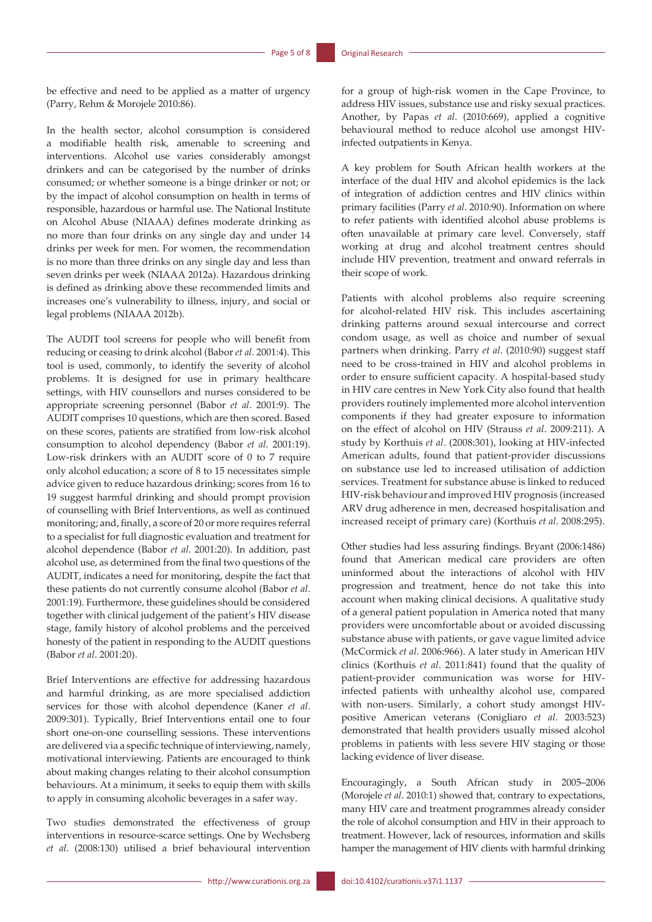be effective and need to be applied as a matter of urgency (Parry, Rehm & Morojele 2010:86).

In the health sector, alcohol consumption is considered a modifiable health risk, amenable to screening and interventions. Alcohol use varies considerably amongst drinkers and can be categorised by the number of drinks consumed; or whether someone is a binge drinker or not; or by the impact of alcohol consumption on health in terms of responsible, hazardous or harmful use. The National Institute on Alcohol Abuse (NIAAA) defines moderate drinking as no more than four drinks on any single day and under 14 drinks per week for men. For women, the recommendation is no more than three drinks on any single day and less than seven drinks per week (NIAAA 2012a). Hazardous drinking is defined as drinking above these recommended limits and increases one's vulnerability to illness, injury, and social or legal problems (NIAAA 2012b).

The AUDIT tool screens for people who will benefit from reducing or ceasing to drink alcohol (Babor *et al*. 2001:4). This tool is used, commonly, to identify the severity of alcohol problems. It is designed for use in primary healthcare settings, with HIV counsellors and nurses considered to be appropriate screening personnel (Babor *et al*. 2001:9). The AUDIT comprises 10 questions, which are then scored. Based on these scores, patients are stratified from low-risk alcohol consumption to alcohol dependency (Babor *et al*. 2001:19). Low-risk drinkers with an AUDIT score of 0 to 7 require only alcohol education; a score of 8 to 15 necessitates simple advice given to reduce hazardous drinking; scores from 16 to 19 suggest harmful drinking and should prompt provision of counselling with Brief Interventions, as well as continued monitoring; and, finally, a score of 20 or more requires referral to a specialist for full diagnostic evaluation and treatment for alcohol dependence (Babor *et al*. 2001:20). In addition, past alcohol use, as determined from the final two questions of the AUDIT, indicates a need for monitoring, despite the fact that these patients do not currently consume alcohol (Babor *et al*. 2001:19). Furthermore, these guidelines should be considered together with clinical judgement of the patient's HIV disease stage, family history of alcohol problems and the perceived honesty of the patient in responding to the AUDIT questions (Babor *et al*. 2001:20).

Brief Interventions are effective for addressing hazardous and harmful drinking, as are more specialised addiction services for those with alcohol dependence (Kaner *et al*. 2009:301). Typically, Brief Interventions entail one to four short one-on-one counselling sessions. These interventions are delivered via a specific technique of interviewing, namely, motivational interviewing. Patients are encouraged to think about making changes relating to their alcohol consumption behaviours. At a minimum, it seeks to equip them with skills to apply in consuming alcoholic beverages in a safer way.

Two studies demonstrated the effectiveness of group interventions in resource-scarce settings. One by Wechsberg *et al*. (2008:130) utilised a brief behavioural intervention

for a group of high-risk women in the Cape Province, to address HIV issues, substance use and risky sexual practices. Another, by Papas *et al*. (2010:669), applied a cognitive behavioural method to reduce alcohol use amongst HIVinfected outpatients in Kenya.

A key problem for South African health workers at the interface of the dual HIV and alcohol epidemics is the lack of integration of addiction centres and HIV clinics within primary facilities (Parry *et al*. 2010:90). Information on where to refer patients with identified alcohol abuse problems is often unavailable at primary care level. Conversely, staff working at drug and alcohol treatment centres should include HIV prevention, treatment and onward referrals in their scope of work.

Patients with alcohol problems also require screening for alcohol-related HIV risk. This includes ascertaining drinking patterns around sexual intercourse and correct condom usage, as well as choice and number of sexual partners when drinking. Parry *et al*. (2010:90) suggest staff need to be cross-trained in HIV and alcohol problems in order to ensure sufficient capacity. A hospital-based study in HIV care centres in New York City also found that health providers routinely implemented more alcohol intervention components if they had greater exposure to information on the effect of alcohol on HIV (Strauss *et al*. 2009:211). A study by Korthuis *et al*. (2008:301), looking at HIV-infected American adults, found that patient-provider discussions on substance use led to increased utilisation of addiction services. Treatment for substance abuse is linked to reduced HIV-risk behaviour and improved HIV prognosis (increased ARV drug adherence in men, decreased hospitalisation and increased receipt of primary care) (Korthuis *et al*. 2008:295).

Other studies had less assuring findings. Bryant (2006:1486) found that American medical care providers are often uninformed about the interactions of alcohol with HIV progression and treatment, hence do not take this into account when making clinical decisions. A qualitative study of a general patient population in America noted that many providers were uncomfortable about or avoided discussing substance abuse with patients, or gave vague limited advice (McCormick *et al*. 2006:966). A later study in American HIV clinics (Korthuis *et al*. 2011:841) found that the quality of patient-provider communication was worse for HIVinfected patients with unhealthy alcohol use, compared with non-users. Similarly, a cohort study amongst HIVpositive American veterans (Conigliaro *et al*. 2003:523) demonstrated that health providers usually missed alcohol problems in patients with less severe HIV staging or those lacking evidence of liver disease.

Encouragingly, a South African study in 2005–2006 (Morojele *et al*. 2010:1) showed that, contrary to expectations, many HIV care and treatment programmes already consider the role of alcohol consumption and HIV in their approach to treatment. However, lack of resources, information and skills hamper the management of HIV clients with harmful drinking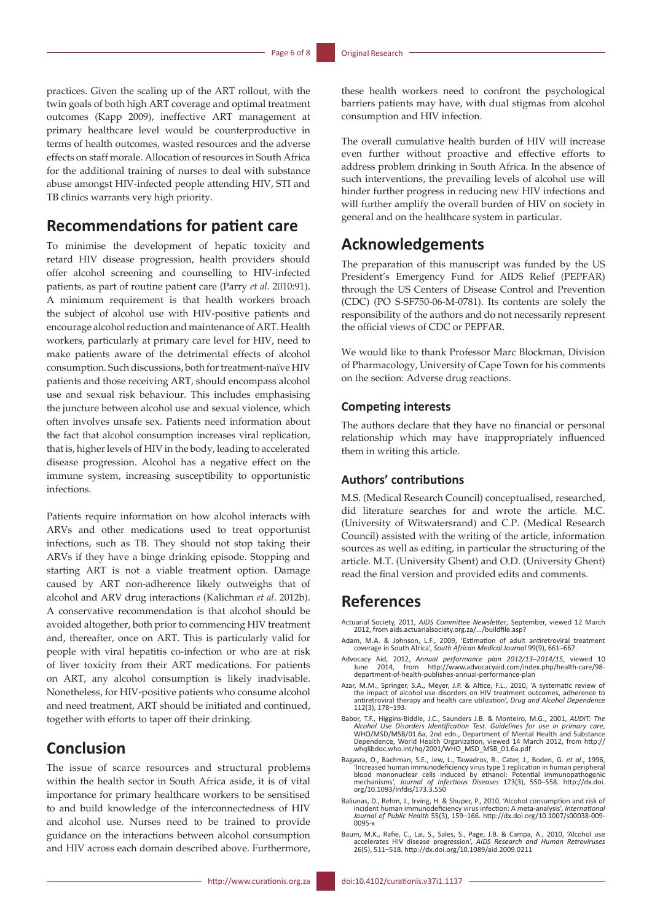practices. Given the scaling up of the ART rollout, with the twin goals of both high ART coverage and optimal treatment outcomes (Kapp 2009), ineffective ART management at primary healthcare level would be counterproductive in terms of health outcomes, wasted resources and the adverse effects on staff morale. Allocation of resources in South Africa for the additional training of nurses to deal with substance abuse amongst HIV-infected people attending HIV, STI and TB clinics warrants very high priority.

### **Recommendations for patient care**

To minimise the development of hepatic toxicity and retard HIV disease progression, health providers should offer alcohol screening and counselling to HIV-infected patients, as part of routine patient care (Parry *et al*. 2010:91). A minimum requirement is that health workers broach the subject of alcohol use with HIV-positive patients and encourage alcohol reduction and maintenance of ART. Health workers, particularly at primary care level for HIV, need to make patients aware of the detrimental effects of alcohol consumption. Such discussions, both for treatment-naïve HIV patients and those receiving ART, should encompass alcohol use and sexual risk behaviour. This includes emphasising the juncture between alcohol use and sexual violence, which often involves unsafe sex. Patients need information about the fact that alcohol consumption increases viral replication, that is, higher levels of HIV in the body, leading to accelerated disease progression. Alcohol has a negative effect on the immune system, increasing susceptibility to opportunistic infections.

Patients require information on how alcohol interacts with ARVs and other medications used to treat opportunist infections, such as TB. They should not stop taking their ARVs if they have a binge drinking episode. Stopping and starting ART is not a viable treatment option. Damage caused by ART non-adherence likely outweighs that of alcohol and ARV drug interactions (Kalichman *et al*. 2012b). A conservative recommendation is that alcohol should be avoided altogether, both prior to commencing HIV treatment and, thereafter, once on ART. This is particularly valid for people with viral hepatitis co-infection or who are at risk of liver toxicity from their ART medications. For patients on ART, any alcohol consumption is likely inadvisable. Nonetheless, for HIV-positive patients who consume alcohol and need treatment, ART should be initiated and continued, together with efforts to taper off their drinking.

# **Conclusion**

The issue of scarce resources and structural problems within the health sector in South Africa aside, it is of vital importance for primary healthcare workers to be sensitised to and build knowledge of the interconnectedness of HIV and alcohol use. Nurses need to be trained to provide guidance on the interactions between alcohol consumption and HIV across each domain described above. Furthermore,

these health workers need to confront the psychological barriers patients may have, with dual stigmas from alcohol consumption and HIV infection.

The overall cumulative health burden of HIV will increase even further without proactive and effective efforts to address problem drinking in South Africa. In the absence of such interventions, the prevailing levels of alcohol use will hinder further progress in reducing new HIV infections and will further amplify the overall burden of HIV on society in general and on the healthcare system in particular.

# **Acknowledgements**

The preparation of this manuscript was funded by the US President's Emergency Fund for AIDS Relief (PEPFAR) through the US Centers of Disease Control and Prevention (CDC) (PO S-SF750-06-M-0781). Its contents are solely the responsibility of the authors and do not necessarily represent the official views of CDC or PEPFAR.

We would like to thank Professor Marc Blockman, Division of Pharmacology, University of Cape Town for his comments on the section: Adverse drug reactions.

### **Competing interests**

The authors declare that they have no financial or personal relationship which may have inappropriately influenced them in writing this article.

### **Authors' contributions**

M.S. (Medical Research Council) conceptualised, researched, did literature searches for and wrote the article. M.C. (University of Witwatersrand) and C.P. (Medical Research Council) assisted with the writing of the article, information sources as well as editing, in particular the structuring of the article. M.T. (University Ghent) and O.D. (University Ghent) read the final version and provided edits and comments.

### **References**

- Actuarial Society, 2011, *AIDS Committee Newsletter*, September, viewed 12 March 2012, from aids.actuarialsociety.org.za/.../buildfile.asp?
- Adam, M.A. & Johnson, L.F., 2009, 'Estimation of adult antiretroviral treatment coverage in South Africa', *South African Medical Journal* 99(9), 661–667.
- Advocacy Aid, 2012, *Annual performance plan 2012/13–2014/15*, viewed 10<br>June 2014, from [http://www.advocacyaid.com/index.php/health-care/98-](http://www.advocacyaid.com/index.php/health-care/98-department-of-health-publishes-annual-performance-plan )<br>[department-of-health-publishes-annual-performance-plan](http://www.advocacyaid.com/index.php/health-care/98-department-of-health-publishes-annual-performance-plan )
- Azar, M.M., Springer, S.A., Meyer, J.P. & Altice, F.L., 2010, 'A systematic review of the impact of alcohol use disorders on HIV treatment outcomes, adherence to antiretroviral therapy and health care utilization', *Drug and Alcohol Dependence* 112(3), 178–193.
- Babor, T.F., Higgins-Biddle, J.C., Saunders J.B. & Monteiro, M.G., 2001, AUDIT: The<br>Alcohol Use Disorders Identification Test. Guidelines for use in primary care,<br>WHO/MSD/MSRO1.6a, 2nd edn., Department of Mental Health and
- Bagasra, O., Bachman, S.E., Jew, L., Tawadros, R., Cater, J., Boden, G. *et al*., 1996, 'Increased human immunodeficiency virus type 1 replication in human peripheral<br>blood mononuclear cells induced by ethanol: Potential immunopathogenic<br>mechanisms', Journal of Infectious Diseases 173(3), 550–558. http://dx.d
- Baliunas, D., Rehm, J., Irving, H. & Shuper, P., 2010, 'Alcohol consumption and risk of<br>incident human immunodeficiency virus infection: A meta-analysis', International<br>- Journal of Public Health 55(3), 159–166. http://dx. [0095-x](http://dx.doi.org/10.1007/s00038-009-0095-x)
- Baum, M.K., Rafie, C., Lai, S., Sales, S., Page, J.B. & Campa, A., 2010, 'Alcohol use<br>accelerates HIV disease progression', *AIDS Research and Human Retroviruses*<br>26(5), 511–518.<http://dx.doi.org/10.1089/aid.2009.0211>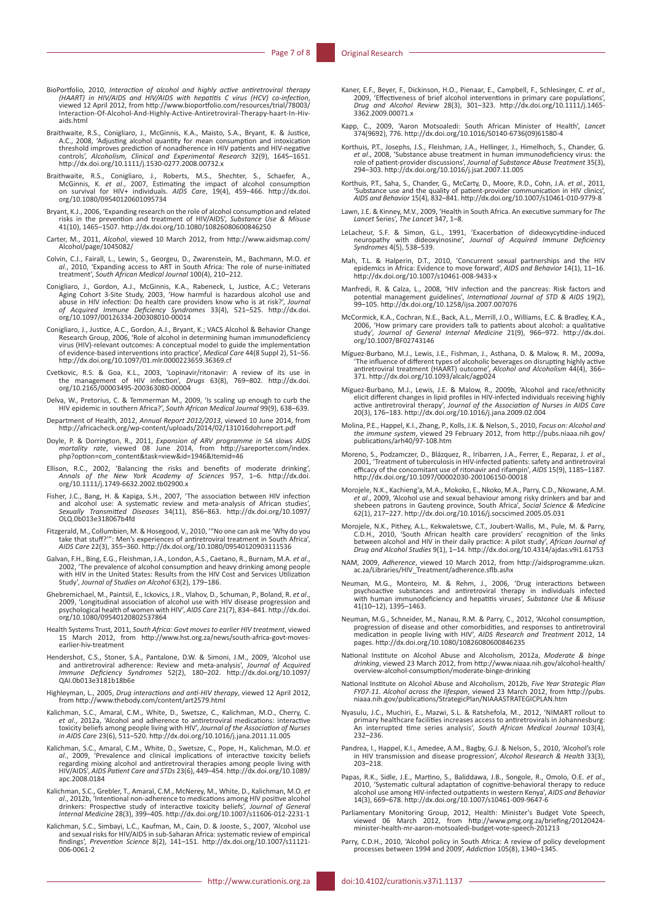- BioPortfolio, 2010, Interaction of alcohol and highly active antiretroviral therapy<br>(HAART) in HIV/AIDS and HIV/AIDS with hepatitis C virus (HCV) co-infection,<br>viewed 12 April 2012, from http://www.bioportfolio.com/resourc [aids.html](http://www.bioportfolio.com/resources/trial/78003/Interaction-Of-Alcohol-And-Highly-Active-Antiretroviral-Therapy-haart-In-Hiv-aids.html)
- Braithwaite, R.S., Conigliaro, J., McGinnis, K.A., Maisto, S.A., Bryant, K. & Justice, A.C., 2008, 'Adjusting alcohol quantity for mean consumption and intoxication threshold improves prediction of nonadherence in HIV pati <http://dx.doi.org/10.1111/j.1530-0277.2008.00732.x>
- Braithwaite, R.S., Conigliaro, J., Roberts, M.S., Shechter, S., Schaefer, A.,<br>McGinnis, K. et al., 2007, Estimating the impact of alcohol consumption<br>on survival for HIV+ individuals. *AIDS Care*, 19(4), 459–466. http://dx [org/10.1080/09540120601095734](http://dx.doi.org/10.1080/09540120601095734)
- Bryant, K.J., 2006, 'Expanding research on the role of alcohol consumption and related risks in the prevention and treatment of HIV/AIDS', *Substance Use & Misuse* 41(10), 1465–1507. <http://dx.doi.org/10.1080/10826080600846250>
- Carter, M., 2011, *Alcohol*, viewed 10 March 2012, from [http://www.aidsmap.com/](http://www.aidsmap.com/Alcohol/page/1045082/ ) [Alcohol/page/1045082/](http://www.aidsmap.com/Alcohol/page/1045082/ )
- Colvin, C.J., Fairall, L., Lewin, S., Georgeu, D., Zwarenstein, M., Bachmann, M.O. *et al*., 2010, 'Expanding access to ART in South Africa: The role of nurse-initiated treatment', *South African Medical Journal* 100(4), 210–212.
- Conigliaro, J., Gordon, A.J., McGinnis, K.A., Rabeneck, L., Justice, A.C.; Veterans Aging Cohort 3-Site Study, 2003, 'How harmful is hazardous alcohol use and abuse in HIV infection: Do health care providers know who is at
- Conigliaro, J., Justice, A.C., Gordon, A.J., [Bryant, K.](http://www.ncbi.nlm.nih.gov/pubmed?term=Bryant K%5BAuthor%5D&cauthor=true&cauthor_uid=16849963); [VACS Alcohol & Behavior Change](http://www.ncbi.nlm.nih.gov/pubmed?term=VACS Alcohol and Behavior Change Research Group%5BCorporate Author%5D) [Research Group](http://www.ncbi.nlm.nih.gov/pubmed?term=VACS Alcohol and Behavior Change Research Group%5BCorporate Author%5D), 2006, 'Role of alcohol in determining human immunodeficiency virus (HIV)-relevant outcomes: A conceptual model to guide the implementation of evidence-based interventions into practice', *Medical Care* 44(8 Suppl 2), S1–S6. <http://dx.doi.org/10.1097/01.mlr.0000223659.36369.cf>
- Cvetkovic, R.S. & Goa, K.L., 2003, 'Lopinavir/ritonavir: A review of its use in the management of HIV infection', *Drugs* 63(8), 769–802. [http://dx.doi.](http://dx.doi.org/10.2165/00003495-200363080-00004) [org/10.2165/00003495-200363080-00004](http://dx.doi.org/10.2165/00003495-200363080-00004)
- Delva, W., Pretorius, C. & Temmerman M., 2009, 'Is scaling up enough to curb the HIV epidemic in southern Africa?', *South African Medical Journal* 99(9), 638–639.
- Department of Health, 2012, *Annual Report 2012/2013*, viewed 10 June 2014, from http://africacheck.org/wp-content/uploads/2014/02/131016dohrreport.pdf
- Doyle, P. & Dorrington, R., 2011, *Expansion of ARV programme in SA slows AIDS mortality rate*, viewed 08 June 2014, from http://sareporter.com/index. php?option=com\_content&task=view&id=1946&Itemid=46
- Ellison, R.C., 2002, 'Balancing the risks and benefits of moderate drinking', *Annals of the New York Academy of Sciences* 957, 1–6. [http://dx.doi.](http://dx.doi.org/10.1111/j.1749-6632.2002.tb02900.x) [org/10.1111/j.1749-6632.2002.tb02900.x](http://dx.doi.org/10.1111/j.1749-6632.2002.tb02900.x)
- Fisher, J.C., Bang, H. & Kapiga, S.H., 2007, 'The association between HIV infection<br>and alcohol use: A systematic review and meta-analysis of African studies',<br>Sexually Transmitted Diseases 34(11), 856–863. http://dx.doi.o [OLQ.0b013e318067b4fd](http://dx.doi.org/10.1097/OLQ.0b013e318067b4fd)
- Fitzgerald, M., Collumbien, M. & Hosegood, V., 2010, '"No one can ask me 'Why do you take that stuff?'": Men's experiences of antiretroviral treatment in South Africa', *AIDS Care* 22(3), 355–360. <http://dx.doi.org/10.1080/09540120903111536>
- Galvan, F.H., Bing, E.G., Fleishman, J.A., London, A.S., Caetano, R., Burnam, M.A. et al.,<br>2002, 'The prevalence of alcohol consumption and heavy drinking among people<br>with HIV in the United States: Results from the HIV Co Study', *Journal of Studies on Alcohol* 63(2), 179–186.
- Ghebremichael, M., Paintsil, E., Ickovics, J.R., Vlahov, D., Schuman, P., Boland, R. *et al*., 2009, 'Longitudinal association of alcohol use with HIV disease progression and psychological health of women with HIV', *AIDS Care* 21(7), 834–841. [http://dx.doi.](http://dx.doi.org/10.1080/09540120802537864) [org/10.1080/09540120802537864](http://dx.doi.org/10.1080/09540120802537864)
- Health Systems Trust, 2011, *South Africa: Govt moves to earlier HIV treatment*, viewed 15 March 2012, from [http://www.hst.org.za/news/south-africa-govt-moves](http://www.hst.org.za/news/south-africa-govt-moves-earlier-hiv-treatment )[earlier-hiv-treatment](http://www.hst.org.za/news/south-africa-govt-moves-earlier-hiv-treatment )
- Hendershot, C.S., Stoner, S.A., Pantalone, D.W. & Simoni, J.M., 2009, 'Alcohol use and antiretroviral adherence: Review and meta-analysis', *Journal of Acquired Immune Deficiency Syndromes* 52(2), 180–202. [http://dx.doi.org/10.1097/](http://dx.doi.org/10.1097/QAI.0b013e3181b18b6e) [QAI.0b013e3181b18b6e](http://dx.doi.org/10.1097/QAI.0b013e3181b18b6e)
- Highleyman, L., 2005, *Drug interactions and anti-HIV therapy*, viewed 12 April 2012, from [http://www.thebody.com/content/art2579.html](http://www.thebody.com/content/art2579.html )
- Kalichman, S.C., Amaral, C.M., White, D., Swetsze, C., Kalichman, M.O., Cherry, C. et al., 2012a, 'Alcohol and adherence to antiretroviral medications: interactive<br>toxicity beliefs among people living with HIV', Journal of the Association of Nurses<br>in AIDS Care 23(6), 511–520. http://dx.doi.org/10.1016/j
- Kalichman, S.C., Amaral, C.M., White, D., Swetsze, C., Pope, H., Kalichman, M.O. et al., 2009, 'Prevalence and clinical implications of interactive toxicity beliefs regarding mixing alcohol and antiretroviral therapies amo [apc.2008.0184](http://dx.doi.org/10.1089/apc.2008.0184)
- Kalichman, S.C., Grebler, T., Amaral, C.M., McNerey, M., White, D., Kalichman, M.O. et<br>al., 2012b, 'Intentional non-adherence to medications among HIV positive alcohol<br>drinkers: Prospective study of interactive toxicity be *Internal Medicine* 28(3), 399–405.<http://dx.doi.org/10.1007/s11606-012-2231-1>
- Kalichman, S.C., Simbayi, L.C., Kaufman, M., Cain, D. & Jooste, S., 2007, 'Alcohol use and sexual risks for HIV/AIDS in sub-Saharan Africa: systematic review of empirical findings', *Prevention Science* 8(2), 141–151. [http://dx.doi.org/10.1007/s11121-](http://dx.doi.org/10.1007/s11121-006-0061-2) [006-0061-2](http://dx.doi.org/10.1007/s11121-006-0061-2)
- Kaner, E.F., Beyer, F., Dickinson, H.O., Pienaar, E., Campbell, F., Schlesinger, C. *et al*., 2009, 'Effectiveness of brief alcohol interventions in primary care populations', *Drug and Alcohol Review* 28(3), 301–323. [http://dx.doi.org/10.1111/j.1465-](http://dx.doi.org/10.1111/j.1465-3362.2009.00071.x) [3362.2009.00071.x](http://dx.doi.org/10.1111/j.1465-3362.2009.00071.x)
- Kapp, C., 2009, 'Aaron Motsoaledi: South African Minister of Health', *Lancet* 374(9692), 776. [http://dx.doi.org/10.1016/S0140-6736\(09\)61580-4](http://dx.doi.org/10.1016/S0140-6736(09)61580-4)
- Korthuis, P.T., Josephs, J.S., Fleishman, J.A., Hellinger, J., Himelhoch, S., Chander, G. *et al*., 2008, 'Substance abuse treatment in human immunodeficiency virus: the role of patient-provider discussions', *Journal of Substance Abuse Treatment* 35(3), 294–303.<http://dx.doi.org/10.1016/j.jsat.2007.11.005>
- Korthuis, P.T., Saha, S., Chander, G., McCarty, D., Moore, R.D., Cohn, J.A. *et al*., 2011, 'Substance use and the quality of patient-provider communication in HIV clinics', *AIDS and Behavior* 15(4), 832–841.<http://dx.doi.org/10.1007/s10461-010-9779-8>
- Lawn, J.E. & Kinney, M.V., 2009, 'Health in South Africa. An executive summary for *The Lancet* Series', *The Lancet* 347, 1–8.
- LeLacheur, S.F. & Simon, G.L., 1991, 'Exacerbation of dideoxycytidine-induced neuropathy with dideoxyinosine', *Journal of Acquired Immune Deficiency Syndromes* 4(5), 538–539.
- Mah, T.L. & Halperin, D.T., 2010, 'Concurrent sexual partnerships and the HIV epidemics in Africa: Evidence to move forward', *AIDS and Behavior* 14(1), 11–16. <http://dx.doi.org/10.1007/s10461-008-9433-x>
- Manfredi, R. & Calza, L., 2008, 'HIV infection and the pancreas: Risk factors and potential management guidelines', *International Journal of STD & AIDS* 19(2), 99–105. <http://dx.doi.org/10.1258/ijsa.2007.007076>
- McCormick, K.A., Cochran, N.E., Back, A.L., Merrill, J.O., Williams, E.C. & Bradley, K.A., 2006, 'How primary care providers talk to patients about alcohol: a qualitative<br>study', *Journal of General Internal Medicine* 21(9), 966–972. [http://dx.doi.](http://dx.doi.org/10.1007/BF02743146)<br>[org/10.1007/BF02743146](http://dx.doi.org/10.1007/BF02743146)
- Míguez-Burbano, M.J., Lewis, J.E., Fishman, J., Asthana, D. & Malow, R. M., 2009a,<br>The influence of different types of alcoholic beverages on disrupting highly active<br>antiretroviral treatment (HAART) outcome', Alcohol and 371.<http://dx.doi.org/10.1093/alcalc/agp024>
- Míguez-Burbano, M.J., Lewis, J.E. & Malow, R., 2009b, 'Alcohol and race/ethnicity<br>elicit different changes in lipid profiles in HIV-infected individuals receiving highly<br>active antiretroviral therapy', Journal of the Assoc
- Molina, P.E., Happel, K.I., Zhang, P., Kolls, J.K. & Nelson, S., 2010, *Focus on: Alcohol and the immune system*, viewed 29 February 2012, from [http://pubs.niaaa.nih.gov/](http://pubs.niaaa.nih.gov/publications/arh40/97-108.htm ) [publications/arh40/97-108.htm](http://pubs.niaaa.nih.gov/publications/arh40/97-108.htm )
- Moreno, S., Podzamczer, D., Blázquez, R., Iribarren, J.A., Ferrer, E., Reparaz, J. et al., 2001, 'Treatment of tuberculosis in HIV-infected patients: safety and antiretroviral efficacy of the concomitant use of ritonavir a
- Morojele, N.K., Kachieng'a, M.A., Mokoko, E., Nkoko, M.A., Parry, C.D., Nkowane, A.M. *et al*., 2009, 'Alcohol use and sexual behaviour among risky drinkers and bar and shebeen patrons in Gauteng province, South Africa', *Social Science & Medicine* 62(1), 217–227.<http://dx.doi.org/10.1016/j.socscimed.2005.05.031>
- Morojele, N.K., Pithey, A.L., Kekwaletswe, C.T., Joubert-Wallis, M., Pule, M. & Parry, C.D.H., 2010, 'South African health care providers' recognition of the links<br>between alcohol and HIV in their daily practice: A pilot study', A*frican Journal of*<br>Drug and Alcohol Studies 9(1), 1–14. http://dx.doi.org/10.4
- NAM, 2009, *Adherence*, viewed 10 March 2012, from http://aidsprogramme.ukzn. ac.za/Libraries/HIV\_Treatment/adherence.sflb.ashx
- Neuman, M.G., Monteiro, M. & Rehm, J., 2006, 'Drug interactions between<br>psychoactive substances and antiretroviral therapy in individuals infected<br>with human immunodeficiency and hepatitis viruses', Substance Use & Misuse 41(10–12), 1395–1463.
- Neuman, M.G., Schneider, M., Nanau, R.M. & Parry, C., 2012, 'Alcohol consumption, progression of disease and other comorbidities, and responses to antiretroviral medication in people living with HIV', AIDS Research and Tre
- National Institute on Alcohol Abuse and Alcoholism, 2012a, *Moderate & binge drinking*, viewed 23 March 2012, from [http://www.niaaa.nih.gov/alcohol-health/](http://www.niaaa.nih.gov/alcohol-health/overview-alcohol-consumption/moderate-binge-drinking ) [overview-alcohol-consumption/moderate-binge-drinking](http://www.niaaa.nih.gov/alcohol-health/overview-alcohol-consumption/moderate-binge-drinking )
- National Institute on Alcohol Abuse and Alcoholism, 2012b, *Five Year Strategic Plan FY07-11. Alcohol across the lifespan*, viewed 23 March 2012, from [http://pubs.](http://pubs.niaaa.nih.gov/publications/StrategicPlan/NIAAASTRATEGICPLAN.htm ) [niaaa.nih.gov/publications/StrategicPlan/NIAAASTRATEGICPLAN.htm](http://pubs.niaaa.nih.gov/publications/StrategicPlan/NIAAASTRATEGICPLAN.htm )
- [Nyasulu, J.C.](http://www.ncbi.nlm.nih.gov/pubmed?term=Nyasulu JC%5BAuthor%5D&cauthor=true&cauthor_uid=23547688), [Muchiri, E.](http://www.ncbi.nlm.nih.gov/pubmed?term=Muchiri E%5BAuthor%5D&cauthor=true&cauthor_uid=23547688), [Mazwi, S.L](http://www.ncbi.nlm.nih.gov/pubmed?term=Mazwi SL%5BAuthor%5D&cauthor=true&cauthor_uid=23547688). & [Ratshefola, M](http://www.ncbi.nlm.nih.gov/pubmed?term=Ratshefola M%5BAuthor%5D&cauthor=true&cauthor_uid=23547688)., 2012, 'NIMART rollout to<br>primary healthcare facilities increases access to antiretrovirals in Johannesburg:<br>An interrupted time series analysis', South African Medi 232–236.
- Pandrea, I., Happel, K.I., Amedee, A.M., Bagby, G.J. & Nelson, S., 2010, 'Alcohol's role in HIV transmission and disease progression', *Alcohol Research & Health* 33(3), 203–218.
- Papas, R.K., Sidle, J.E., Martino, S., Baliddawa, J.B., Songole, R., Omolo, O.E. et al., 2010, 'Systematic cultural adaptation of cognitive-behavioral therapy to reduce alcohol use among HIV-infected outpatients in western
- Parliamentary Monitoring Group, 2012, Health: Minister's Budget Vote Speech, viewed 06 March 2012, from [http://www.pmg.org.za/briefing/20120424](http://www.pmg.org.za/briefing/20120424-minister-health-mr-aaron-motsoaledi-budget-vote-speech-201213 ) [minister-health-mr-aaron-motsoaledi-budget-vote-speech-201213](http://www.pmg.org.za/briefing/20120424-minister-health-mr-aaron-motsoaledi-budget-vote-speech-201213 )
- Parry, C.D.H., 2010, 'Alcohol policy in South Africa: A review of policy development processes between 1994 and 2009', *Addiction* 105(8), 1340–1345.